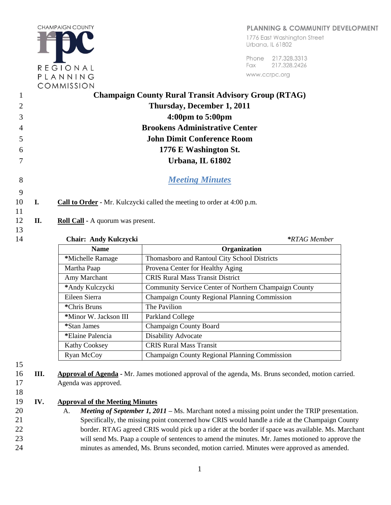PLANNING & COMMUNITY DEVELOPMENT

**CHAMPAIGN COUNTY** REGIONAL PLANNING

1776 East Washinaton Street Urbana, IL 61802

Phone 217,328,3313 Fax 217.328.2426 www.ccrpc.org

|        |    | COMMISSION                                                                    |
|--------|----|-------------------------------------------------------------------------------|
| 1      |    | <b>Champaign County Rural Transit Advisory Group (RTAG)</b>                   |
|        |    | Thursday, December 1, 2011                                                    |
| 3      |    | $4:00 \text{pm}$ to $5:00 \text{pm}$                                          |
| 4      |    | <b>Brookens Administrative Center</b>                                         |
| 5      |    | <b>John Dimit Conference Room</b>                                             |
| 6      |    | 1776 E Washington St.                                                         |
|        |    | Urbana, IL 61802                                                              |
| 8<br>9 |    | <b>Meeting Minutes</b>                                                        |
| 10     | I. | <b>Call to Order -</b> Mr. Kulczycki called the meeting to order at 4:00 p.m. |
| 11     |    |                                                                               |
| 12     | П. | <b>Roll Call</b> - A quorum was present.                                      |
| 13     |    |                                                                               |

14 **Chair: Andy Kulczycki** *\*RTAG Member* **Name Organization \***Michelle Ramage Thomasboro and Rantoul City School Districts Martha Paap Provena Center for Healthy Aging Amy Marchant CRIS Rural Mass Transit District **\***Andy Kulczycki Community Service Center of Northern Champaign County Eileen Sierra Champaign County Regional Planning Commission **\***Chris Bruns The Pavilion **\***Minor W. Jackson III Parkland College \*Stan James **Champaign County Board \***Elaine Palencia Disability Advocate Kathy Cooksey **CRIS Rural Mass Transit** Ryan McCoy Champaign County Regional Planning Commission

15

- 16 **III. Approval of Agenda -** Mr. James motioned approval of the agenda, Ms. Bruns seconded, motion carried. 17 Agenda was approved.
- 18

19 **IV. Approval of the Meeting Minutes**

 A. *Meeting of September 1, 2011 –* Ms. Marchant noted a missing point under the TRIP presentation. Specifically, the missing point concerned how CRIS would handle a ride at the Champaign County 22 border. RTAG agreed CRIS would pick up a rider at the border if space was available. Ms. Marchant will send Ms. Paap a couple of sentences to amend the minutes. Mr. James motioned to approve the minutes as amended, Ms. Bruns seconded, motion carried. Minutes were approved as amended.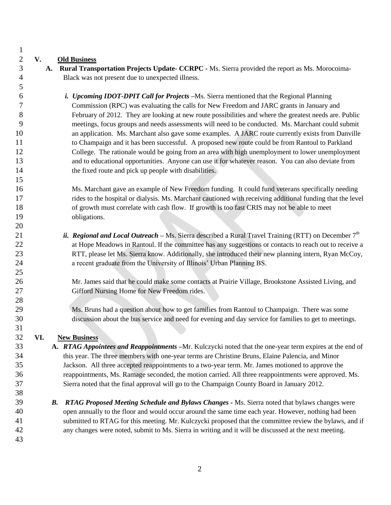#### **V. Old Business**

 **A. Rural Transportation Projects Update- CCRPC** *-* Ms. Sierra provided the report as Ms. Morocoima-Black was not present due to unexpected illness.

 *i. Upcoming IDOT-DPIT Call for Projects –*Ms. Sierra mentioned that the Regional Planning Commission (RPC) was evaluating the calls for New Freedom and JARC grants in January and February of 2012. They are looking at new route possibilities and where the greatest needs are. Public meetings, focus groups and needs assessments will need to be conducted. Ms. Marchant could submit 10 an application. Ms. Marchant also gave some examples. A JARC route currently exists from Danville to Champaign and it has been successful. A proposed new route could be from Rantoul to Parkland College. The rationale would be going from an area with high unemployment to lower unemployment and to educational opportunities. Anyone can use it for whatever reason. You can also deviate from 14 the fixed route and pick up people with disabilities.

 Ms. Marchant gave an example of New Freedom funding. It could fund veterans specifically needing rides to the hospital or dialysis. Ms. Marchant cautioned with receiving additional funding that the level of growth must correlate with cash flow. If growth is too fast CRIS may not be able to meet obligations.

*ii. Regional and Local Outreach* – Ms. Sierra described a Rural Travel Training (RTT) on December  $7<sup>th</sup>$ 22 at Hope Meadows in Rantoul. If the committee has any suggestions or contacts to reach out to receive a RTT, please let Ms. Sierra know. Additionally, she introduced their new planning intern, Ryan McCoy, a recent graduate from the University of Illinois' Urban Planning BS.

 Mr. James said that he could make some contacts at Prairie Village, Brookstone Assisted Living, and Gifford Nursing Home for New Freedom rides.

 Ms. Bruns had a question about how to get families from Rantoul to Champaign. There was some discussion about the bus service and need for evening and day service for families to get to meetings.

## **VI. New Business**

- **A.** *RTAG Appointees and Reappointments –*Mr. Kulczycki noted that the one-year term expires at the end of this year. The three members with one-year terms are Christine Bruns, Elaine Palencia, and Minor Jackson. All three accepted reappointments to a two-year term. Mr. James motioned to approve the reappointments, Ms. Ramage seconded, the motion carried. All three reappointments were approved. Ms. Sierra noted that the final approval will go to the Champaign County Board in January 2012.
- 

 *B. RTAG Proposed Meeting Schedule and Bylaws Changes -* Ms. Sierra noted that bylaws changes were open annually to the floor and would occur around the same time each year. However, nothing had been submitted to RTAG for this meeting. Mr. Kulczycki proposed that the committee review the bylaws, and if any changes were noted, submit to Ms. Sierra in writing and it will be discussed at the next meeting.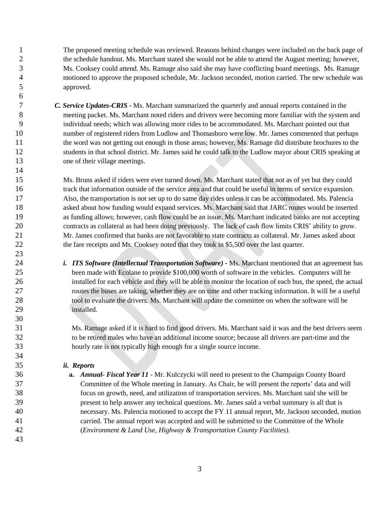The proposed meeting schedule was reviewed. Reasons behind changes were included on the back page of the schedule handout. Ms. Marchant stated she would not be able to attend the August meeting; however, Ms. Cooksey could attend. Ms. Ramage also said she may have conflicting board meetings. Ms. Ramage motioned to approve the proposed schedule, Mr. Jackson seconded, motion carried. The new schedule was approved.

 *C. Service Updates-CRIS -* Ms. Marchant summarized the quarterly and annual reports contained in the meeting packet. Ms. Marchant noted riders and drivers were becoming more familiar with the system and individual needs; which was allowing more rides to be accommodated. Ms. Marchant pointed out that number of registered riders from Ludlow and Thomasboro were low. Mr. James commented that perhaps the word was not getting out enough in those areas; however, Ms. Ramage did distribute brochures to the students in that school district. Mr. James said he could talk to the Ludlow mayor about CRIS speaking at 13 one of their village meetings.

 Ms. Bruns asked if riders were ever turned down. Ms. Marchant stated that not as of yet but they could track that information outside of the service area and that could be useful in terms of service expansion. Also, the transportation is not set up to do same day rides unless it can be accommodated. Ms. Palencia asked about how funding would expand services. Ms. Marchant said that JARC routes would be inserted as funding allows; however, cash flow could be an issue. Ms. Marchant indicated banks are not accepting contracts as collateral as had been doing previously. The lack of cash flow limits CRIS' ability to grow. Mr. James confirmed that banks are not favorable to state contracts as collateral. Mr. James asked about 22 the fare receipts and Ms. Cooksey noted that they took in \$5,500 over the last quarter.

 *i. ITS Software (Intellectual Transportation Software) -* Ms. Marchant mentioned that an agreement has been made with Ecolane to provide \$100,000 worth of software in the vehicles. Computers will be installed for each vehicle and they will be able to monitor the location of each bus, the speed, the actual routes the buses are taking, whether they are on time and other tracking information. It will be a useful 28 tool to evaluate the drivers. Ms. Marchant will update the committee on when the software will be installed.

 Ms. Ramage asked if it is hard to find good drivers. Ms. Marchant said it was and the best drivers seem to be retired males who have an additional income source; because all drivers are part-time and the hourly rate is not typically high enough for a single source income.

### *ii. Reports*

 **a.** *Annual- Fiscal Year 11 -* Mr. Kulczycki will need to present to the Champaign County Board Committee of the Whole meeting in January. As Chair, he will present the reports' data and will focus on growth, need, and utilization of transportation services. Ms. Marchant said she will be present to help answer any technical questions. Mr. James said a verbal summary is all that is necessary. Ms. Palencia motioned to accept the FY 11 annual report, Mr. Jackson seconded, motion carried. The annual report was accepted and will be submitted to the Committee of the Whole (*Environment & Land Use, Highway & Transportation County Facilities).*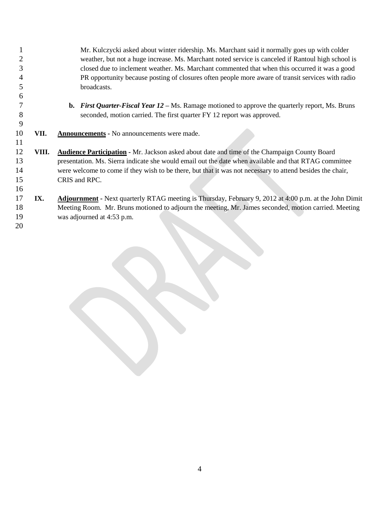Mr. Kulczycki asked about winter ridership. Ms. Marchant said it normally goes up with colder weather, but not a huge increase. Ms. Marchant noted service is canceled if Rantoul high school is closed due to inclement weather. Ms. Marchant commented that when this occurred it was a good PR opportunity because posting of closures often people more aware of transit services with radio broadcasts. **b.** *First Quarter-Fiscal Year 12 –* Ms. Ramage motioned to approve the quarterly report, Ms. Bruns seconded, motion carried. The first quarter FY 12 report was approved. **VII. Announcements -** No announcements were made. **VIII. Audience Participation -** Mr. Jackson asked about date and time of the Champaign County Board presentation. Ms. Sierra indicate she would email out the date when available and that RTAG committee 14 were welcome to come if they wish to be there, but that it was not necessary to attend besides the chair, CRIS and RPC. **IX. Adjournment -** Next quarterly RTAG meeting is Thursday, February 9, 2012 at 4:00 p.m. at the John Dimit Meeting Room. Mr. Bruns motioned to adjourn the meeting, Mr. James seconded, motion carried. Meeting was adjourned at 4:53 p.m.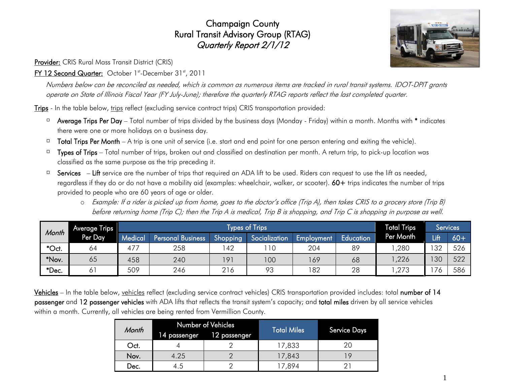# Champaign County Rural Transit Advisory Group (RTAG) Quarterly Report 2/1/12

Provider: CRIS Rural Mass Transit District (CRIS)

## FY 12 Second Quarter: October 1st-December 31st, 2011

Numbers below can be reconciled as needed, which is common as numerous items are tracked in rural transit systems. IDOT-DPIT grants operate on State of Illinois Fiscal Year (FY July-June); therefore the quarterly RTAG reports reflect the last completed quarter.

Trips - In the table below, trips reflect (excluding service contract trips) CRIS transportation provided:

- $\Box$  Average Trips Per Day Total number of trips divided by the business days (Monday Friday) within a month. Months with \* indicates there were one or more holidays on a business day.
- Total Trips Per Month A trip is one unit of service (i.e. start and end point for one person entering and exiting the vehicle).  $\Box$
- $\Box$  Types of Trips Total number of trips, broken out and classified on destination per month. A return trip, to pick-up location was classified as the same purpose as the trip preceding it.
- Services Lift service are the number of trips that required an ADA lift to be used. Riders can request to use the lift as needed,  $\Box$ regardless if they do or do not have a mobility aid (examples: wheelchair, walker, or scooter). 60+ trips indicates the number of trips provided to people who are 60 years of age or older.
	- o Example: If a rider is picked up from home, goes to the doctor's office (Trip A), then takes CRIS to a grocery store (Trip B) before returning home (Trip C); then the Trip A is medical, Trip B is shopping, and Trip C is shopping in purpose as well.

| Month | Average Trips |         | <b>Total Trips</b>       | <b>Services</b> |               |            |           |           |                          |       |
|-------|---------------|---------|--------------------------|-----------------|---------------|------------|-----------|-----------|--------------------------|-------|
|       | Per Day       | Medical | <b>Personal Business</b> | Shopping        | Socialization | Employment | Education | Per Month | Lift                     | $60+$ |
| *Oct. | 64            | $47-$   | 258                      | 42              | 10            | 204        | 89        | ,280      | 32                       | 526   |
| *Nov. | 65            | 458     | 240                      | 191             | 100           | 169        | 68        | ,226      | 130                      | 522   |
| *Dec. | 0             | 509     | 246                      | 216             | 93            | 182        | 28        | ,273      | $\overline{\phantom{a}}$ | 586   |

Vehicles – In the table below, vehicles reflect (excluding service contract vehicles) CRIS transportation provided includes: total number of 14 passenger and 12 passenger vehicles with ADA lifts that reflects the transit system's capacity; and total miles driven by all service vehicles within a month. Currently, all vehicles are being rented from Vermillion County.

| Month |              | Number of Vehicles | <b>Total Miles</b> | <b>Service Days</b> |  |
|-------|--------------|--------------------|--------------------|---------------------|--|
|       | 14 passenger | 12 passenger       |                    |                     |  |
| Oct.  |              |                    | 17,833             | 20                  |  |
| Nov.  | 4.25         |                    | 17,843             |                     |  |
| Dec.  | 4.5          |                    | 17,894             |                     |  |